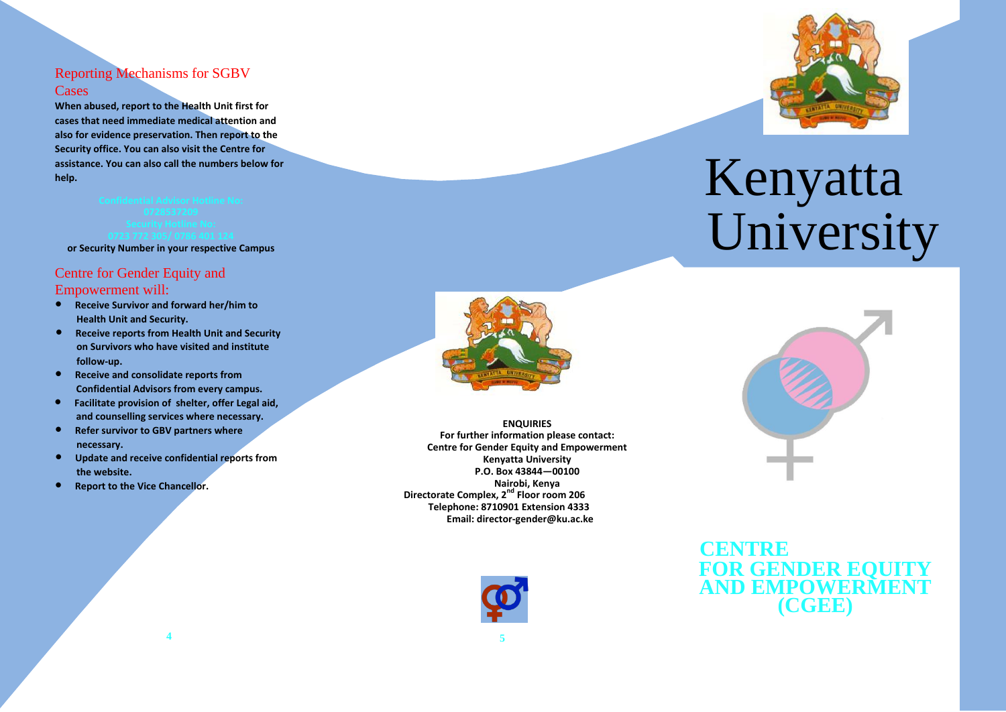#### Reporting Mechanisms for SGBV **Cases**

**When abused, report to the Health Unit first for cases that need immediate medical attention and also for evidence preservation. Then report to the Security office. You can also visit the Centre for assistance. You can also call the numbers below for help.**

**or Security Number in your respective Campus**

# Centre for Gender Equity and

Empowerment will:

- **Receive Survivor and forward her/him to Health Unit and Security.**
- **Receive reports from Health Unit and Security on Survivors who have visited and institute follow-up.**
- **Receive and consolidate reports from Confidential Advisors from every campus.**
- **Facilitate provision of shelter, offer Legal aid, and counselling services where necessary.**
- **Refer survivor to GBV partners where necessary.**
- **Update and receive confidential reports from the website.**
- **Report to the Vice Chancellor.**



**ENQUIRIES For further information please contact: Centre for Gender Equity and Empowerment Kenyatta University P.O. Box 43844—00100 Nairobi, Kenya Directorate Complex, 2nd Floor room 206 Telephone: 8710901 Extension 4333 Email: director-gender@ku.ac.ke**





# Confidential Advisor Hotline No:<br>Confidential Advisor Hotline No: University



# **CENTRE FOR GENDER E AND EMPOWERMENT (CGEE)**